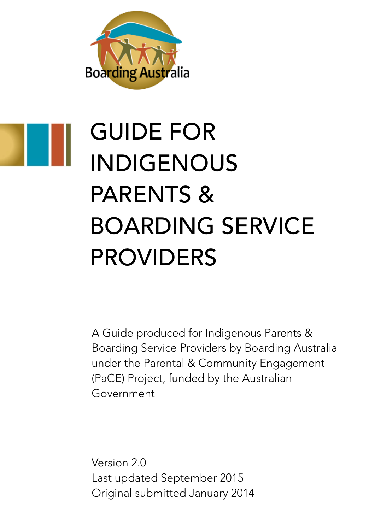

# GUIDE FOR INDIGENOUS PARENTS & BOARDING SERVICE PROVIDERS

A Guide produced for Indigenous Parents & Boarding Service Providers by Boarding Australia under the Parental & Community Engagement (PaCE) Project, funded by the Australian Government

Version 20 Last updated September 2015 Original submitted January 2014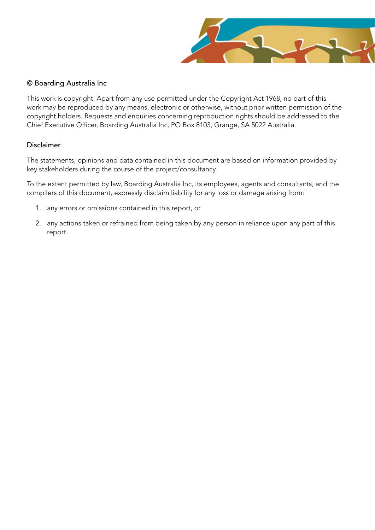

#### © Boarding Australia Inc

This work is copyright. Apart from any use permitted under the Copyright Act 1968, no part of this work may be reproduced by any means, electronic or otherwise, without prior written permission of the copyright holders. Requests and enquiries concerning reproduction rights should be addressed to the Chief Executive Officer, Boarding Australia Inc, PO Box 8103, Grange, SA 5022 Australia.

#### Disclaimer

The statements, opinions and data contained in this document are based on information provided by key stakeholders during the course of the project/consultancy.

To the extent permitted by law, Boarding Australia Inc, its employees, agents and consultants, and the compilers of this document, expressly disclaim liability for any loss or damage arising from:

- 1. any errors or omissions contained in this report, or
- 2. any actions taken or refrained from being taken by any person in reliance upon any part of this report.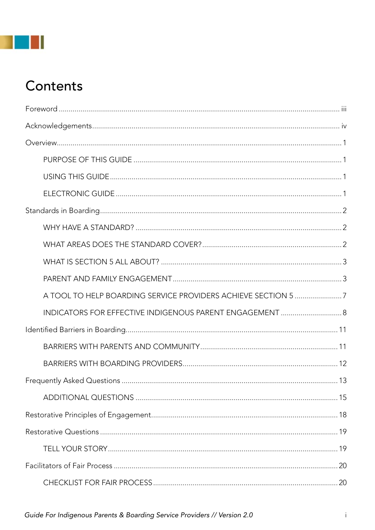## **TILL**

## Contents

| INDICATORS FOR EFFECTIVE INDIGENOUS PARENT ENGAGEMENT  8 |    |
|----------------------------------------------------------|----|
|                                                          |    |
|                                                          |    |
|                                                          |    |
|                                                          |    |
|                                                          |    |
|                                                          |    |
|                                                          |    |
|                                                          |    |
|                                                          | 20 |
|                                                          |    |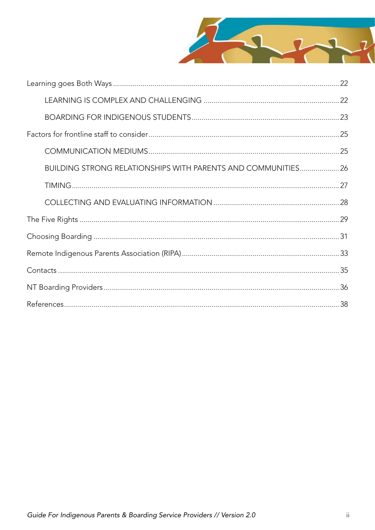

| <b>BUILDING STRONG RELATIONSHIPS WITH PARENTS AND COMMUNITIES 26</b> |  |
|----------------------------------------------------------------------|--|
|                                                                      |  |
|                                                                      |  |
|                                                                      |  |
|                                                                      |  |
|                                                                      |  |
|                                                                      |  |
|                                                                      |  |
|                                                                      |  |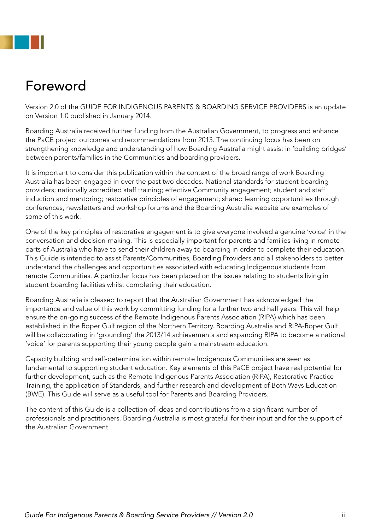

## Foreword

Version 2.0 of the GUIDE FOR INDIGENOUS PARENTS & BOARDING SERVICE PROVIDERS is an update on Version 1.0 published in January 2014.

Boarding Australia received further funding from the Australian Government, to progress and enhance the PaCE project outcomes and recommendations from 2013. The continuing focus has been on strengthening knowledge and understanding of how Boarding Australia might assist in 'building bridges' between parents/families in the Communities and boarding providers.

It is important to consider this publication within the context of the broad range of work Boarding Australia has been engaged in over the past two decades. National standards for student boarding providers; nationally accredited staff training; effective Community engagement; student and staff induction and mentoring; restorative principles of engagement; shared learning opportunities through conferences, newsletters and workshop forums and the Boarding Australia website are examples of some of this work.

One of the key principles of restorative engagement is to give everyone involved a genuine 'voice' in the conversation and decision-making. This is especially important for parents and families living in remote parts of Australia who have to send their children away to boarding in order to complete their education. This Guide is intended to assist Parents/Communities, Boarding Providers and all stakeholders to better understand the challenges and opportunities associated with educating Indigenous students from remote Communities. A particular focus has been placed on the issues relating to students living in student boarding facilities whilst completing their education.

Boarding Australia is pleased to report that the Australian Government has acknowledged the importance and value of this work by committing funding for a further two and half years. This will help ensure the on-going success of the Remote Indigenous Parents Association (RIPA) which has been established in the Roper Gulf region of the Northern Territory. Boarding Australia and RIPA-Roper Gulf will be collaborating in 'grounding' the 2013/14 achievements and expanding RIPA to become a national 'voice' for parents supporting their young people gain a mainstream education.

Capacity building and self-determination within remote Indigenous Communities are seen as fundamental to supporting student education. Key elements of this PaCE project have real potential for further development, such as the Remote Indigenous Parents Association (RIPA), Restorative Practice Training, the application of Standards, and further research and development of Both Ways Education (BWE). This Guide will serve as a useful tool for Parents and Boarding Providers.

The content of this Guide is a collection of ideas and contributions from a significant number of professionals and practitioners. Boarding Australia is most grateful for their input and for the support of the Australian Government.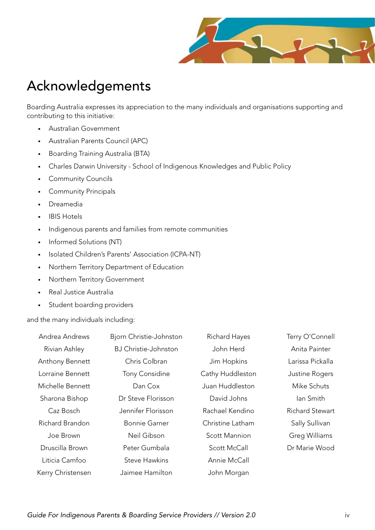

## Acknowledgements

Boarding Australia expresses its appreciation to the many individuals and organisations supporting and contributing to this initiative:

- • Australian Government
- • Australian Parents Council (APC)
- • Boarding Training Australia (BTA)
- • Charles Darwin University School of Indigenous Knowledges and Public Policy
- • Community Councils
- • Community Principals
- • Dreamedia
- • IBIS Hotels
- • Indigenous parents and families from remote communities
- Informed Solutions (NT)
- • Isolated Children's Parents' Association (ICPA-NT)
- • Northern Territory Department of Education
- • Northern Territory Government
- • Real Justice Australia
- Student boarding providers

and the many individuals including:

| Andrea Andrews    | Bjorn Christie-Johnston     | <b>Richard Hayes</b> | Terry O'Connell        |
|-------------------|-----------------------------|----------------------|------------------------|
| Rivian Ashley     | <b>BJ Christie-Johnston</b> | John Herd            | Anita Painter          |
| Anthony Bennett   | Chris Colbran               | Jim Hopkins          | Larissa Pickalla       |
| Lorraine Bennett  | <b>Tony Considine</b>       | Cathy Huddleston     | Justine Rogers         |
| Michelle Bennett  | Dan Cox                     | Juan Huddleston      | Mike Schuts            |
| Sharona Bishop    | Dr Steve Florisson          | David Johns          | lan Smith              |
| Caz Bosch         | Jennifer Florisson          | Rachael Kendino      | <b>Richard Stewart</b> |
| Richard Brandon   | <b>Bonnie Garner</b>        | Christine Latham     | Sally Sullivan         |
| Joe Brown         | Neil Gibson                 | <b>Scott Mannion</b> | Greg Williams          |
| Druscilla Brown   | Peter Gumbala               | Scott McCall         | Dr Marie Wood          |
| Liticia Camfoo    | <b>Steve Hawkins</b>        | Annie McCall         |                        |
| Kerry Christensen | Jaimee Hamilton             | John Morgan          |                        |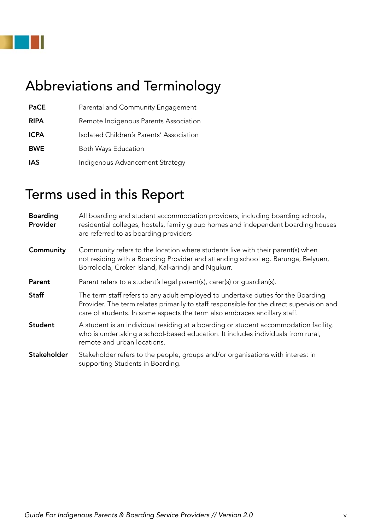

## Abbreviations and Terminology

| <b>PaCE</b> | Parental and Community Engagement        |
|-------------|------------------------------------------|
| <b>RIPA</b> | Remote Indigenous Parents Association    |
| <b>ICPA</b> | Isolated Children's Parents' Association |
| <b>BWE</b>  | Both Ways Education                      |
| <b>IAS</b>  | Indigenous Advancement Strategy          |

## Terms used in this Report

| <b>Boarding</b><br>Provider | All boarding and student accommodation providers, including boarding schools,<br>residential colleges, hostels, family group homes and independent boarding houses<br>are referred to as boarding providers                                               |
|-----------------------------|-----------------------------------------------------------------------------------------------------------------------------------------------------------------------------------------------------------------------------------------------------------|
| Community                   | Community refers to the location where students live with their parent(s) when<br>not residing with a Boarding Provider and attending school eg. Barunga, Belyuen,<br>Borroloola, Croker Island, Kalkarindji and Ngukurr.                                 |
| Parent                      | Parent refers to a student's legal parent(s), carer(s) or guardian(s).                                                                                                                                                                                    |
| <b>Staff</b>                | The term staff refers to any adult employed to undertake duties for the Boarding<br>Provider. The term relates primarily to staff responsible for the direct supervision and<br>care of students. In some aspects the term also embraces ancillary staff. |
| <b>Student</b>              | A student is an individual residing at a boarding or student accommodation facility,<br>who is undertaking a school-based education. It includes individuals from rural,<br>remote and urban locations.                                                   |
| <b>Stakeholder</b>          | Stakeholder refers to the people, groups and/or organisations with interest in<br>supporting Students in Boarding.                                                                                                                                        |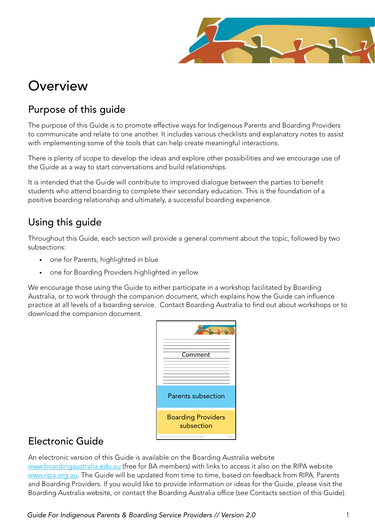

## **Overview**

### Purpose of this guide

The purpose of this Guide is to promote effective ways for Indigenous Parents and Boarding Providers to communicate and relate to one another. It includes various checklists and explanatory notes to assist with implementing some of the tools that can help create meaningful interactions.

There is plenty of scope to develop the ideas and explore other possibilities and we encourage use of the Guide as a way to start conversations and build relationships.

It is intended that the Guide will contribute to improved dialogue between the parties to benefit students who attend boarding to complete their secondary education. This is the foundation of a positive boarding relationship and ultimately, a successful boarding experience.

### Using this guide

Throughout this Guide, each section will provide a general comment about the topic, followed by two subsections:

- • one for Parents, highlighted in blue
- one for Boarding Providers highlighted in yellow

We encourage those using the Guide to either participate in a workshop facilitated by Boarding Australia, or to work through the companion document, which explains how the Guide can influence practice at all levels of a boarding service. Contact Boarding Australia to find out about workshops or to download the companion document.

| Comment                                 |
|-----------------------------------------|
|                                         |
| Parents subsection                      |
| <b>Boarding Providers</b><br>subsection |
|                                         |

### Electronic Guide

An electronic version of this Guide is available on the Boarding Australia website

www.boardingaustralia.edu.au (free for BA members) with links to access it also on the RIPA website www.ripa.org.au. The Guide will be updated from time to time, based on feedback from RIPA, Parents and Boarding Providers. If you would like to provide information or ideas for the Guide, please visit the Boarding Australia website, or contact the Boarding Australia office (see Contacts section of this Guide).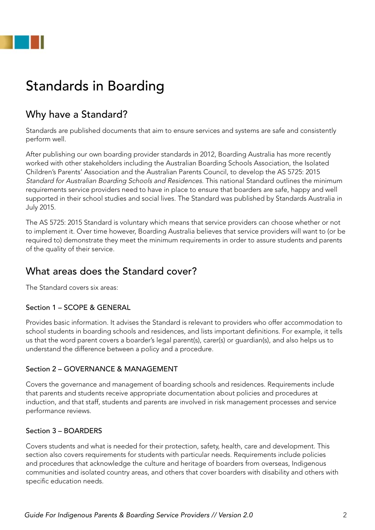

## Standards in Boarding

### Why have a Standard?

Standards are published documents that aim to ensure services and systems are safe and consistently perform well.

After publishing our own boarding provider standards in 2012, Boarding Australia has more recently worked with other stakeholders including the Australian Boarding Schools Association, the Isolated Children's Parents' Association and the Australian Parents Council, to develop the AS 5725: 2015 Standard for Australian Boarding Schools and Residences. This national Standard outlines the minimum requirements service providers need to have in place to ensure that boarders are safe, happy and well supported in their school studies and social lives. The Standard was published by Standards Australia in July 2015.

The AS 5725: 2015 Standard is voluntary which means that service providers can choose whether or not to implement it. Over time however, Boarding Australia believes that service providers will want to (or be required to) demonstrate they meet the minimum requirements in order to assure students and parents of the quality of their service.

### What areas does the Standard cover?

The Standard covers six areas:

#### Section 1 – SCOPE & GENERAL

Provides basic information. It advises the Standard is relevant to providers who offer accommodation to school students in boarding schools and residences, and lists important definitions. For example, it tells us that the word parent covers a boarder's legal parent(s), carer(s) or guardian(s), and also helps us to understand the difference between a policy and a procedure.

#### Section 2 – GOVERNANCE & MANAGEMENT

Covers the governance and management of boarding schools and residences. Requirements include that parents and students receive appropriate documentation about policies and procedures at induction, and that staff, students and parents are involved in risk management processes and service performance reviews.

#### Section 3 – BOARDERS

Covers students and what is needed for their protection, safety, health, care and development. This section also covers requirements for students with particular needs. Requirements include policies and procedures that acknowledge the culture and heritage of boarders from overseas, Indigenous communities and isolated country areas, and others that cover boarders with disability and others with specific education needs.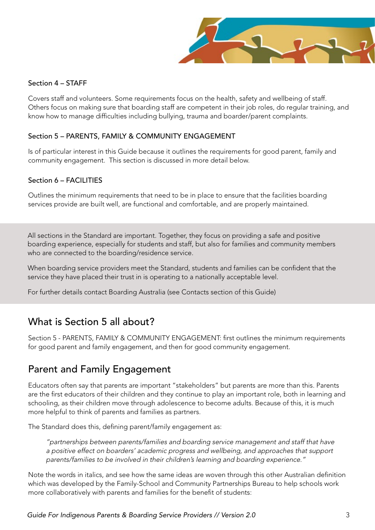

#### Section 4 – STAFF

Covers staff and volunteers. Some requirements focus on the health, safety and wellbeing of staff. Others focus on making sure that boarding staff are competent in their job roles, do regular training, and know how to manage difficulties including bullying, trauma and boarder/parent complaints.

#### Section 5 – PARENTS, FAMILY & COMMUNITY ENGAGEMENT

Is of particular interest in this Guide because it outlines the requirements for good parent, family and community engagement. This section is discussed in more detail below.

#### Section 6 – FACILITIES

Outlines the minimum requirements that need to be in place to ensure that the facilities boarding services provide are built well, are functional and comfortable, and are properly maintained.

All sections in the Standard are important. Together, they focus on providing a safe and positive boarding experience, especially for students and staff, but also for families and community members who are connected to the boarding/residence service.

When boarding service providers meet the Standard, students and families can be confident that the service they have placed their trust in is operating to a nationally acceptable level.

For further details contact Boarding Australia (see Contacts section of this Guide)

#### What is Section 5 all about?

Section 5 - PARENTS, FAMILY & COMMUNITY ENGAGEMENT: first outlines the minimum requirements for good parent and family engagement, and then for good community engagement.

#### Parent and Family Engagement

Educators often say that parents are important "stakeholders" but parents are more than this. Parents are the first educators of their children and they continue to play an important role, both in learning and schooling, as their children move through adolescence to become adults. Because of this, it is much more helpful to think of parents and families as partners.

The Standard does this, defining parent/family engagement as:

"partnerships between parents/families and boarding service management and staff that have a positive effect on boarders' academic progress and wellbeing, and approaches that support parents/families to be involved in their children's learning and boarding experience."

Note the words in italics, and see how the same ideas are woven through this other Australian definition which was developed by the Family-School and Community Partnerships Bureau to help schools work more collaboratively with parents and families for the benefit of students: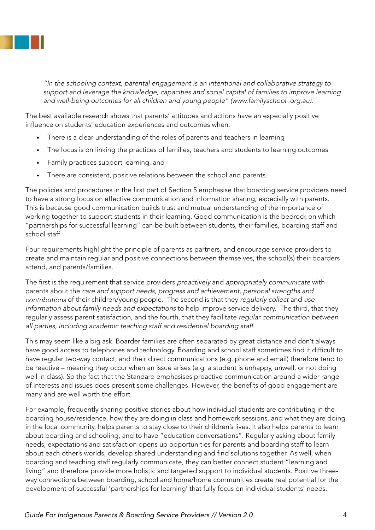

"In the schooling context, parental engagement is an intentional and collaborative strategy to support and leverage the knowledge, capacities and social capital of families to improve learning and well-being outcomes for all children and young people" (www.familyschool .org.au).

The best available research shows that parents' attitudes and actions have an especially positive influence on students' education experiences and outcomes when:

- There is a clear understanding of the roles of parents and teachers in learning
- The focus is on linking the practices of families, teachers and students to learning outcomes
- • Family practices support learning, and
- There are consistent, positive relations between the school and parents.

The policies and procedures in the first part of Section 5 emphasise that boarding service providers need to have a strong focus on effective communication and information sharing, especially with parents. This is because good communication builds trust and mutual understanding of the importance of working together to support students in their learning. Good communication is the bedrock on which "partnerships for successful learning" can be built between students, their families, boarding staff and school staff.

Four requirements highlight the principle of parents as partners, and encourage service providers to create and maintain regular and positive connections between themselves, the school(s) their boarders attend, and parents/families.

The first is the requirement that service providers proactively and appropriately communicate with parents about the care and support needs, progress and achievement, personal strengths and contributions of their children/young people. The second is that they regularly collect and use information about family needs and expectations to help improve service delivery. The third, that they regularly assess parent satisfaction, and the fourth, that they facilitate regular communication between all parties, including academic teaching staff and residential boarding staff.

This may seem like a big ask. Boarder families are often separated by great distance and don't always have good access to telephones and technology. Boarding and school staff sometimes find it difficult to have regular two-way contact, and their direct communications (e.g. phone and email) therefore tend to be reactive – meaning they occur when an issue arises (e.g. a student is unhappy, unwell, or not doing well in class). So the fact that the Standard emphasises proactive communication around a wider range of interests and issues does present some challenges. However, the benefits of good engagement are many and are well worth the effort.

For example, frequently sharing positive stories about how individual students are contributing in the boarding house/residence, how they are doing in class and homework sessions, and what they are doing in the local community, helps parents to stay close to their children's lives. It also helps parents to learn about boarding and schooling, and to have "education conversations". Regularly asking about family needs, expectations and satisfaction opens up opportunities for parents and boarding staff to learn about each other's worlds, develop shared understanding and find solutions together. As well, when boarding and teaching staff regularly communicate, they can better connect student "learning and living" and therefore provide more holistic and targeted support to individual students. Positive threeway connections between boarding, school and home/home communities create real potential for the development of successful 'partnerships for learning' that fully focus on individual students' needs.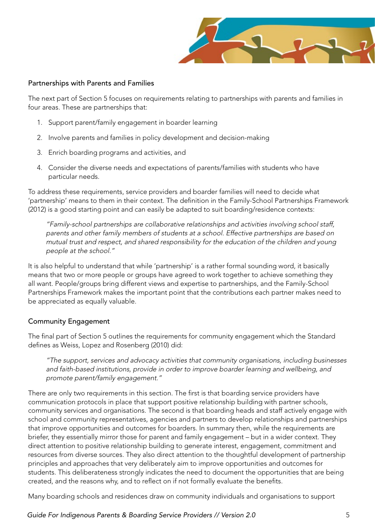

#### Partnerships with Parents and Families

The next part of Section 5 focuses on requirements relating to partnerships with parents and families in four areas. These are partnerships that:

- 1. Support parent/family engagement in boarder learning
- 2. Involve parents and families in policy development and decision-making
- 3. Enrich boarding programs and activities, and
- 4. Consider the diverse needs and expectations of parents/families with students who have particular needs.

To address these requirements, service providers and boarder families will need to decide what 'partnership' means to them in their context. The definition in the Family-School Partnerships Framework (2012) is a good starting point and can easily be adapted to suit boarding/residence contexts:

"Family-school partnerships are collaborative relationships and activities involving school staff, parents and other family members of students at a school. Effective partnerships are based on mutual trust and respect, and shared responsibility for the education of the children and young people at the school."

It is also helpful to understand that while 'partnership' is a rather formal sounding word, it basically means that two or more people or groups have agreed to work together to achieve something they all want. People/groups bring different views and expertise to partnerships, and the Family-School Partnerships Framework makes the important point that the contributions each partner makes need to be appreciated as equally valuable.

#### Community Engagement

The final part of Section 5 outlines the requirements for community engagement which the Standard defines as Weiss, Lopez and Rosenberg (2010) did:

"The support, services and advocacy activities that community organisations, including businesses and faith-based institutions, provide in order to improve boarder learning and wellbeing, and promote parent/family engagement."

There are only two requirements in this section. The first is that boarding service providers have communication protocols in place that support positive relationship building with partner schools, community services and organisations. The second is that boarding heads and staff actively engage with school and community representatives, agencies and partners to develop relationships and partnerships that improve opportunities and outcomes for boarders. In summary then, while the requirements are briefer, they essentially mirror those for parent and family engagement – but in a wider context. They direct attention to positive relationship building to generate interest, engagement, commitment and resources from diverse sources. They also direct attention to the thoughtful development of partnership principles and approaches that very deliberately aim to improve opportunities and outcomes for students. This deliberateness strongly indicates the need to document the opportunities that are being created, and the reasons why, and to reflect on if not formally evaluate the benefits.

Many boarding schools and residences draw on community individuals and organisations to support

*Guide For Indigenous Parents & Boarding Service Providers // Version 2.0* 5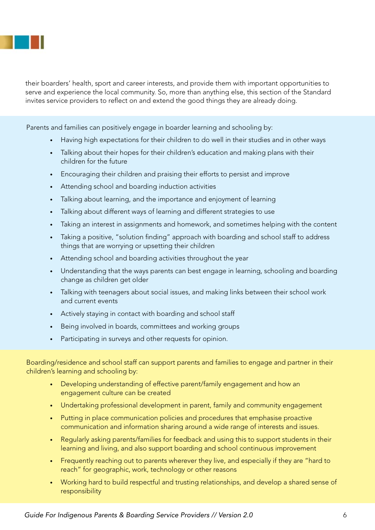

their boarders' health, sport and career interests, and provide them with important opportunities to serve and experience the local community. So, more than anything else, this section of the Standard invites service providers to reflect on and extend the good things they are already doing.

Parents and families can positively engage in boarder learning and schooling by:

- Having high expectations for their children to do well in their studies and in other ways
- Talking about their hopes for their children's education and making plans with their children for the future
- Encouraging their children and praising their efforts to persist and improve
- Attending school and boarding induction activities
- Talking about learning, and the importance and enjoyment of learning
- Talking about different ways of learning and different strategies to use
- Taking an interest in assignments and homework, and sometimes helping with the content
- Taking a positive, "solution finding" approach with boarding and school staff to address things that are worrying or upsetting their children
- Attending school and boarding activities throughout the year
- Understanding that the ways parents can best engage in learning, schooling and boarding change as children get older
- Talking with teenagers about social issues, and making links between their school work and current events
- Actively staying in contact with boarding and school staff
- Being involved in boards, committees and working groups
- Participating in surveys and other requests for opinion.

Boarding/residence and school staff can support parents and families to engage and partner in their children's learning and schooling by:

- Developing understanding of effective parent/family engagement and how an engagement culture can be created
- Undertaking professional development in parent, family and community engagement
- Putting in place communication policies and procedures that emphasise proactive communication and information sharing around a wide range of interests and issues.
- Regularly asking parents/families for feedback and using this to support students in their learning and living, and also support boarding and school continuous improvement
- Frequently reaching out to parents wherever they live, and especially if they are "hard to reach" for geographic, work, technology or other reasons
- Working hard to build respectful and trusting relationships, and develop a shared sense of responsibility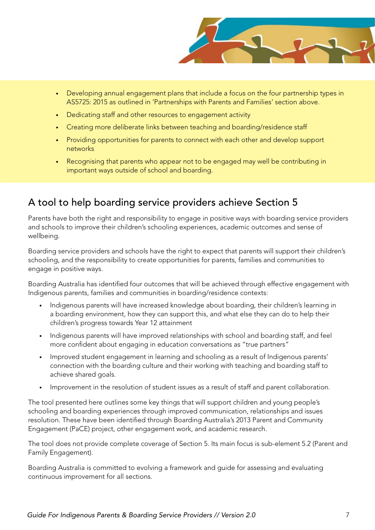

- Developing annual engagement plans that include a focus on the four partnership types in AS5725: 2015 as outlined in 'Partnerships with Parents and Families' section above.
- Dedicating staff and other resources to engagement activity
- Creating more deliberate links between teaching and boarding/residence staff
- Providing opportunities for parents to connect with each other and develop support networks
- Recognising that parents who appear not to be engaged may well be contributing in important ways outside of school and boarding.

### A tool to help boarding service providers achieve Section 5

Parents have both the right and responsibility to engage in positive ways with boarding service providers and schools to improve their children's schooling experiences, academic outcomes and sense of wellbeing.

Boarding service providers and schools have the right to expect that parents will support their children's schooling, and the responsibility to create opportunities for parents, families and communities to engage in positive ways.

Boarding Australia has identified four outcomes that will be achieved through effective engagement with Indigenous parents, families and communities in boarding/residence contexts:

- Indigenous parents will have increased knowledge about boarding, their children's learning in a boarding environment, how they can support this, and what else they can do to help their children's progress towards Year 12 attainment
- Indigenous parents will have improved relationships with school and boarding staff, and feel more confident about engaging in education conversations as "true partners"
- Improved student engagement in learning and schooling as a result of Indigenous parents' connection with the boarding culture and their working with teaching and boarding staff to achieve shared goals.
- Improvement in the resolution of student issues as a result of staff and parent collaboration.

The tool presented here outlines some key things that will support children and young people's schooling and boarding experiences through improved communication, relationships and issues resolution. These have been identified through Boarding Australia's 2013 Parent and Community Engagement (PaCE) project, other engagement work, and academic research.

The tool does not provide complete coverage of Section 5. Its main focus is sub-element 5.2 (Parent and Family Engagement).

Boarding Australia is committed to evolving a framework and guide for assessing and evaluating continuous improvement for all sections.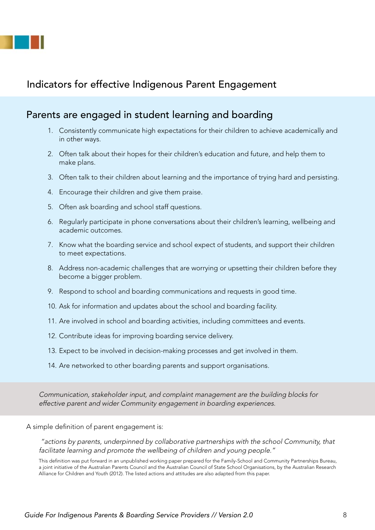

### Indicators for effective Indigenous Parent Engagement

#### Parents are engaged in student learning and boarding

- 1. Consistently communicate high expectations for their children to achieve academically and in other ways.
- 2. Often talk about their hopes for their children's education and future, and help them to make plans.
- 3. Often talk to their children about learning and the importance of trying hard and persisting.
- 4. Encourage their children and give them praise.
- 5. Often ask boarding and school staff questions.
- 6. Regularly participate in phone conversations about their children's learning, wellbeing and academic outcomes.
- 7. Know what the boarding service and school expect of students, and support their children to meet expectations.
- 8. Address non-academic challenges that are worrying or upsetting their children before they become a bigger problem.
- 9. Respond to school and boarding communications and requests in good time.
- 10. Ask for information and updates about the school and boarding facility.
- 11. Are involved in school and boarding activities, including committees and events.
- 12. Contribute ideas for improving boarding service delivery.
- 13. Expect to be involved in decision-making processes and get involved in them.
- 14. Are networked to other boarding parents and support organisations.

Communication, stakeholder input, and complaint management are the building blocks for effective parent and wider Community engagement in boarding experiences.

A simple definition of parent engagement is:

 "actions by parents, underpinned by collaborative partnerships with the school Community, that facilitate learning and promote the wellbeing of children and young people."

This definition was put forward in an unpublished working paper prepared for the Family-School and Community Partnerships Bureau, a joint initiative of the Australian Parents Council and the Australian Council of State School Organisations, by the Australian Research Alliance for Children and Youth (2012). The listed actions and attitudes are also adapted from this paper.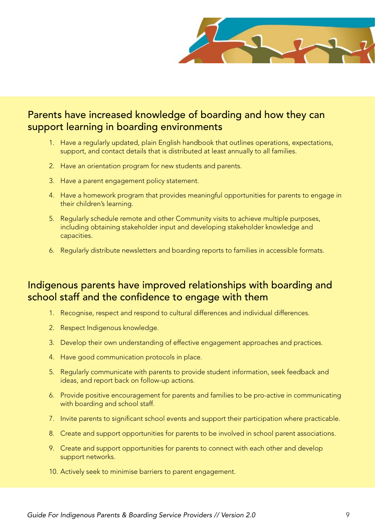

### Parents have increased knowledge of boarding and how they can support learning in boarding environments

- 1. Have a regularly updated, plain English handbook that outlines operations, expectations, support, and contact details that is distributed at least annually to all families.
- 2. Have an orientation program for new students and parents.
- 3. Have a parent engagement policy statement.
- 4. Have a homework program that provides meaningful opportunities for parents to engage in their children's learning.
- 5. Regularly schedule remote and other Community visits to achieve multiple purposes, including obtaining stakeholder input and developing stakeholder knowledge and capacities.
- 6. Regularly distribute newsletters and boarding reports to families in accessible formats.

### Indigenous parents have improved relationships with boarding and school staff and the confidence to engage with them

- 1. Recognise, respect and respond to cultural differences and individual differences.
- 2. Respect Indigenous knowledge.
- 3. Develop their own understanding of effective engagement approaches and practices.
- 4. Have good communication protocols in place.
- 5. Regularly communicate with parents to provide student information, seek feedback and ideas, and report back on follow-up actions.
- 6. Provide positive encouragement for parents and families to be pro-active in communicating with boarding and school staff.
- 7. Invite parents to significant school events and support their participation where practicable.
- 8. Create and support opportunities for parents to be involved in school parent associations.
- 9. Create and support opportunities for parents to connect with each other and develop support networks.
- 10. Actively seek to minimise barriers to parent engagement.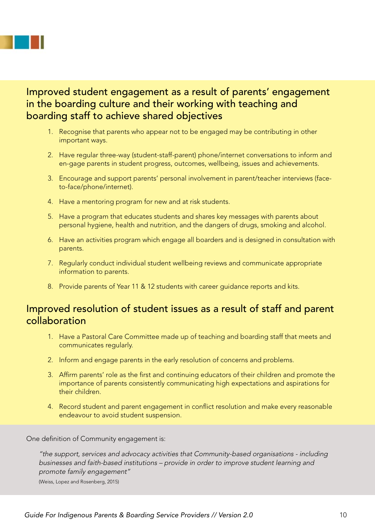

### Improved student engagement as a result of parents' engagement in the boarding culture and their working with teaching and boarding staff to achieve shared objectives

- 1. Recognise that parents who appear not to be engaged may be contributing in other important ways.
- 2. Have regular three-way (student-staff-parent) phone/internet conversations to inform and en-gage parents in student progress, outcomes, wellbeing, issues and achievements.
- 3. Encourage and support parents' personal involvement in parent/teacher interviews (faceto-face/phone/internet).
- 4. Have a mentoring program for new and at risk students.
- 5. Have a program that educates students and shares key messages with parents about personal hygiene, health and nutrition, and the dangers of drugs, smoking and alcohol.
- 6. Have an activities program which engage all boarders and is designed in consultation with parents.
- 7. Regularly conduct individual student wellbeing reviews and communicate appropriate information to parents.
- 8. Provide parents of Year 11 & 12 students with career guidance reports and kits.

### Improved resolution of student issues as a result of staff and parent collaboration

- 1. Have a Pastoral Care Committee made up of teaching and boarding staff that meets and communicates regularly.
- 2. Inform and engage parents in the early resolution of concerns and problems.
- 3. Affirm parents' role as the first and continuing educators of their children and promote the importance of parents consistently communicating high expectations and aspirations for their children.
- 4. Record student and parent engagement in conflict resolution and make every reasonable endeavour to avoid student suspension.

One definition of Community engagement is:

"the support, services and advocacy activities that Community-based organisations - including businesses and faith-based institutions – provide in order to improve student learning and promote family engagement"

(Weiss, Lopez and Rosenberg, 2015)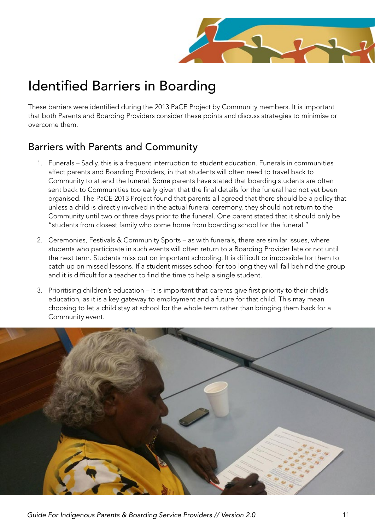

## Identified Barriers in Boarding

These barriers were identified during the 2013 PaCE Project by Community members. It is important that both Parents and Boarding Providers consider these points and discuss strategies to minimise or overcome them.

### Barriers with Parents and Community

- 1. Funerals Sadly, this is a frequent interruption to student education. Funerals in communities affect parents and Boarding Providers, in that students will often need to travel back to Community to attend the funeral. Some parents have stated that boarding students are often sent back to Communities too early given that the final details for the funeral had not yet been organised. The PaCE 2013 Project found that parents all agreed that there should be a policy that unless a child is directly involved in the actual funeral ceremony, they should not return to the Community until two or three days prior to the funeral. One parent stated that it should only be "students from closest family who come home from boarding school for the funeral."
- 2. Ceremonies, Festivals & Community Sports as with funerals, there are similar issues, where students who participate in such events will often return to a Boarding Provider late or not until the next term. Students miss out on important schooling. It is difficult or impossible for them to catch up on missed lessons. If a student misses school for too long they will fall behind the group and it is difficult for a teacher to find the time to help a single student.
- 3. Prioritising children's education It is important that parents give first priority to their child's education, as it is a key gateway to employment and a future for that child. This may mean choosing to let a child stay at school for the whole term rather than bringing them back for a Community event.

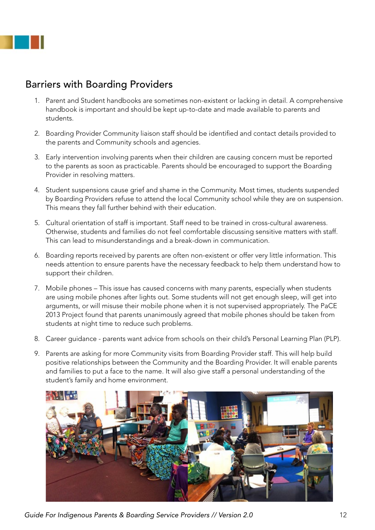

### Barriers with Boarding Providers

- 1. Parent and Student handbooks are sometimes non-existent or lacking in detail. A comprehensive handbook is important and should be kept up-to-date and made available to parents and students.
- 2. Boarding Provider Community liaison staff should be identified and contact details provided to the parents and Community schools and agencies.
- 3. Early intervention involving parents when their children are causing concern must be reported to the parents as soon as practicable. Parents should be encouraged to support the Boarding Provider in resolving matters.
- 4. Student suspensions cause grief and shame in the Community. Most times, students suspended by Boarding Providers refuse to attend the local Community school while they are on suspension. This means they fall further behind with their education.
- 5. Cultural orientation of staff is important. Staff need to be trained in cross-cultural awareness. Otherwise, students and families do not feel comfortable discussing sensitive matters with staff. This can lead to misunderstandings and a break-down in communication.
- 6. Boarding reports received by parents are often non-existent or offer very little information. This needs attention to ensure parents have the necessary feedback to help them understand how to support their children.
- 7. Mobile phones This issue has caused concerns with many parents, especially when students are using mobile phones after lights out. Some students will not get enough sleep, will get into arguments, or will misuse their mobile phone when it is not supervised appropriately. The PaCE 2013 Project found that parents unanimously agreed that mobile phones should be taken from students at night time to reduce such problems.
- 8. Career guidance parents want advice from schools on their child's Personal Learning Plan (PLP).
- 9. Parents are asking for more Community visits from Boarding Provider staff. This will help build positive relationships between the Community and the Boarding Provider. It will enable parents and families to put a face to the name. It will also give staff a personal understanding of the student's family and home environment.



*Guide For Indigenous Parents & Boarding Service Providers // Version 2.0* 12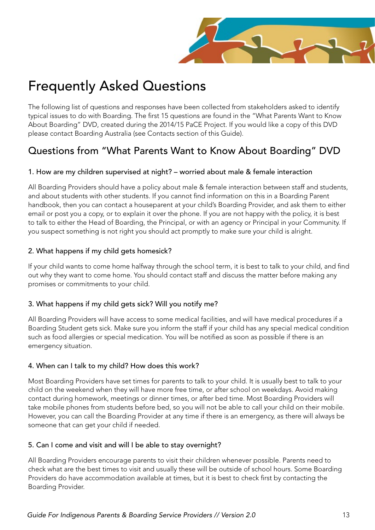

## Frequently Asked Questions

The following list of questions and responses have been collected from stakeholders asked to identify typical issues to do with Boarding. The first 15 questions are found in the "What Parents Want to Know About Boarding" DVD, created during the 2014/15 PaCE Project. If you would like a copy of this DVD please contact Boarding Australia (see Contacts section of this Guide).

### Questions from "What Parents Want to Know About Boarding" DVD

#### 1. How are my children supervised at night? – worried about male & female interaction

All Boarding Providers should have a policy about male & female interaction between staff and students, and about students with other students. If you cannot find information on this in a Boarding Parent handbook, then you can contact a houseparent at your child's Boarding Provider, and ask them to either email or post you a copy, or to explain it over the phone. If you are not happy with the policy, it is best to talk to either the Head of Boarding, the Principal, or with an agency or Principal in your Community. If you suspect something is not right you should act promptly to make sure your child is alright.

#### 2. What happens if my child gets homesick?

If your child wants to come home halfway through the school term, it is best to talk to your child, and find out why they want to come home. You should contact staff and discuss the matter before making any promises or commitments to your child.

#### 3. What happens if my child gets sick? Will you notify me?

All Boarding Providers will have access to some medical facilities, and will have medical procedures if a Boarding Student gets sick. Make sure you inform the staff if your child has any special medical condition such as food allergies or special medication. You will be notified as soon as possible if there is an emergency situation.

#### 4. When can I talk to my child? How does this work?

Most Boarding Providers have set times for parents to talk to your child. It is usually best to talk to your child on the weekend when they will have more free time, or after school on weekdays. Avoid making contact during homework, meetings or dinner times, or after bed time. Most Boarding Providers will take mobile phones from students before bed, so you will not be able to call your child on their mobile. However, you can call the Boarding Provider at any time if there is an emergency, as there will always be someone that can get your child if needed.

#### 5. Can I come and visit and will I be able to stay overnight?

All Boarding Providers encourage parents to visit their children whenever possible. Parents need to check what are the best times to visit and usually these will be outside of school hours. Some Boarding Providers do have accommodation available at times, but it is best to check first by contacting the Boarding Provider.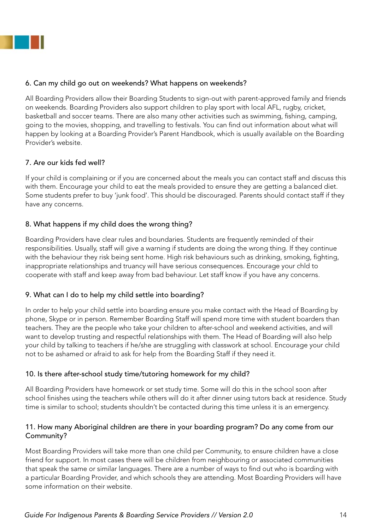

#### 6. Can my child go out on weekends? What happens on weekends?

All Boarding Providers allow their Boarding Students to sign-out with parent-approved family and friends on weekends. Boarding Providers also support children to play sport with local AFL, rugby, cricket, basketball and soccer teams. There are also many other activities such as swimming, fishing, camping, going to the movies, shopping, and travelling to festivals. You can find out information about what will happen by looking at a Boarding Provider's Parent Handbook, which is usually available on the Boarding Provider's website.

#### 7. Are our kids fed well?

If your child is complaining or if you are concerned about the meals you can contact staff and discuss this with them. Encourage your child to eat the meals provided to ensure they are getting a balanced diet. Some students prefer to buy 'junk food'. This should be discouraged. Parents should contact staff if they have any concerns.

#### 8. What happens if my child does the wrong thing?

Boarding Providers have clear rules and boundaries. Students are frequently reminded of their responsibilities. Usually, staff will give a warning if students are doing the wrong thing. If they continue with the behaviour they risk being sent home. High risk behaviours such as drinking, smoking, fighting, inappropriate relationships and truancy will have serious consequences. Encourage your chld to cooperate with staff and keep away from bad behaviour. Let staff know if you have any concerns.

#### 9. What can I do to help my child settle into boarding?

In order to help your child settle into boarding ensure you make contact with the Head of Boarding by phone, Skype or in person. Remember Boarding Staff will spend more time with student boarders than teachers. They are the people who take your children to after-school and weekend activities, and will want to develop trusting and respectful relationships with them. The Head of Boarding will also help your child by talking to teachers if he/she are struggling with classwork at school. Encourage your child not to be ashamed or afraid to ask for help from the Boarding Staff if they need it.

#### 10. Is there after-school study time/tutoring homework for my child?

All Boarding Providers have homework or set study time. Some will do this in the school soon after school finishes using the teachers while others will do it after dinner using tutors back at residence. Study time is similar to school; students shouldn't be contacted during this time unless it is an emergency.

#### 11. How many Aboriginal children are there in your boarding program? Do any come from our Community?

Most Boarding Providers will take more than one child per Community, to ensure children have a close friend for support. In most cases there will be children from neighbouring or associated communities that speak the same or similar languages. There are a number of ways to find out who is boarding with a particular Boarding Provider, and which schools they are attending. Most Boarding Providers will have some information on their website.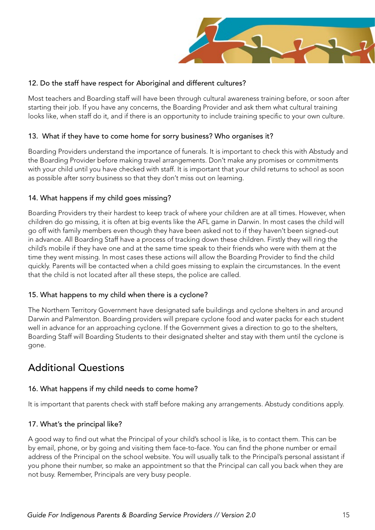

#### 12. Do the staff have respect for Aboriginal and different cultures?

Most teachers and Boarding staff will have been through cultural awareness training before, or soon after starting their job. If you have any concerns, the Boarding Provider and ask them what cultural training looks like, when staff do it, and if there is an opportunity to include training specific to your own culture.

#### 13. What if they have to come home for sorry business? Who organises it?

Boarding Providers understand the importance of funerals. It is important to check this with Abstudy and the Boarding Provider before making travel arrangements. Don't make any promises or commitments with your child until you have checked with staff. It is important that your child returns to school as soon as possible after sorry business so that they don't miss out on learning.

#### 14. What happens if my child goes missing?

Boarding Providers try their hardest to keep track of where your children are at all times. However, when children do go missing, it is often at big events like the AFL game in Darwin. In most cases the child will go off with family members even though they have been asked not to if they haven't been signed-out in advance. All Boarding Staff have a process of tracking down these children. Firstly they will ring the child's mobile if they have one and at the same time speak to their friends who were with them at the time they went missing. In most cases these actions will allow the Boarding Provider to find the child quickly. Parents will be contacted when a child goes missing to explain the circumstances. In the event that the child is not located after all these steps, the police are called.

#### 15. What happens to my child when there is a cyclone?

The Northern Territory Government have designated safe buildings and cyclone shelters in and around Darwin and Palmerston. Boarding providers will prepare cyclone food and water packs for each student well in advance for an approaching cyclone. If the Government gives a direction to go to the shelters, Boarding Staff will Boarding Students to their designated shelter and stay with them until the cyclone is gone.

### Additional Questions

#### 16. What happens if my child needs to come home?

It is important that parents check with staff before making any arrangements. Abstudy conditions apply.

#### 17. What's the principal like?

A good way to find out what the Principal of your child's school is like, is to contact them. This can be by email, phone, or by going and visiting them face-to-face. You can find the phone number or email address of the Principal on the school website. You will usually talk to the Principal's personal assistant if you phone their number, so make an appointment so that the Principal can call you back when they are not busy. Remember, Principals are very busy people.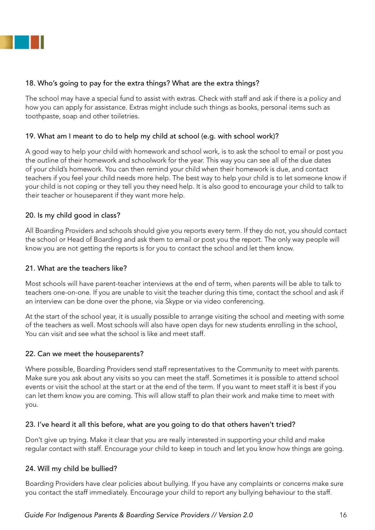

#### 18. Who's going to pay for the extra things? What are the extra things?

The school may have a special fund to assist with extras. Check with staff and ask if there is a policy and how you can apply for assistance. Extras might include such things as books, personal items such as toothpaste, soap and other toiletries.

#### 19. What am I meant to do to help my child at school (e.g. with school work)?

A good way to help your child with homework and school work, is to ask the school to email or post you the outline of their homework and schoolwork for the year. This way you can see all of the due dates of your child's homework. You can then remind your child when their homework is due, and contact teachers if you feel your child needs more help. The best way to help your child is to let someone know if your child is not coping or they tell you they need help. It is also good to encourage your child to talk to their teacher or houseparent if they want more help.

#### 20. Is my child good in class?

All Boarding Providers and schools should give you reports every term. If they do not, you should contact the school or Head of Boarding and ask them to email or post you the report. The only way people will know you are not getting the reports is for you to contact the school and let them know.

#### 21. What are the teachers like?

Most schools will have parent-teacher interviews at the end of term, when parents will be able to talk to teachers one-on-one. If you are unable to visit the teacher during this time, contact the school and ask if an interview can be done over the phone, via Skype or via video conferencing.

At the start of the school year, it is usually possible to arrange visiting the school and meeting with some of the teachers as well. Most schools will also have open days for new students enrolling in the school, You can visit and see what the school is like and meet staff.

#### 22. Can we meet the houseparents?

Where possible, Boarding Providers send staff representatives to the Community to meet with parents. Make sure you ask about any visits so you can meet the staff. Sometimes it is possible to attend school events or visit the school at the start or at the end of the term. If you want to meet staff it is best if you can let them know you are coming. This will allow staff to plan their work and make time to meet with you.

#### 23. I've heard it all this before, what are you going to do that others haven't tried?

Don't give up trying. Make it clear that you are really interested in supporting your child and make regular contact with staff. Encourage your child to keep in touch and let you know how things are going.

#### 24. Will my child be bullied?

Boarding Providers have clear policies about bullying. If you have any complaints or concerns make sure you contact the staff immediately. Encourage your child to report any bullying behaviour to the staff.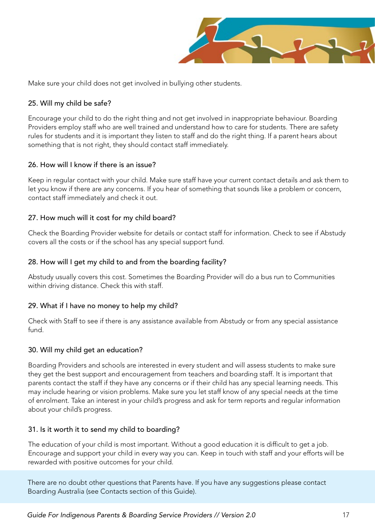

Make sure your child does not get involved in bullying other students.

#### 25. Will my child be safe?

Encourage your child to do the right thing and not get involved in inappropriate behaviour. Boarding Providers employ staff who are well trained and understand how to care for students. There are safety rules for students and it is important they listen to staff and do the right thing. If a parent hears about something that is not right, they should contact staff immediately.

#### 26. How will I know if there is an issue?

Keep in regular contact with your child. Make sure staff have your current contact details and ask them to let you know if there are any concerns. If you hear of something that sounds like a problem or concern, contact staff immediately and check it out.

#### 27. How much will it cost for my child board?

Check the Boarding Provider website for details or contact staff for information. Check to see if Abstudy covers all the costs or if the school has any special support fund.

#### 28. How will I get my child to and from the boarding facility?

Abstudy usually covers this cost. Sometimes the Boarding Provider will do a bus run to Communities within driving distance. Check this with staff.

#### 29. What if I have no money to help my child?

Check with Staff to see if there is any assistance available from Abstudy or from any special assistance fund.

#### 30. Will my child get an education?

Boarding Providers and schools are interested in every student and will assess students to make sure they get the best support and encouragement from teachers and boarding staff. It is important that parents contact the staff if they have any concerns or if their child has any special learning needs. This may include hearing or vision problems. Make sure you let staff know of any special needs at the time of enrolment. Take an interest in your child's progress and ask for term reports and regular information about your child's progress.

#### 31. Is it worth it to send my child to boarding?

The education of your child is most important. Without a good education it is difficult to get a job. Encourage and support your child in every way you can. Keep in touch with staff and your efforts will be rewarded with positive outcomes for your child.

There are no doubt other questions that Parents have. If you have any suggestions please contact Boarding Australia (see Contacts section of this Guide).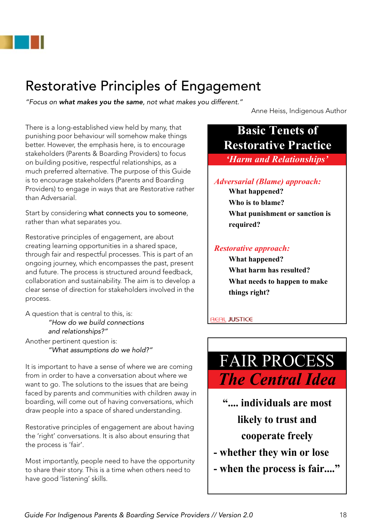

## Restorative Principles of Engagement

*"Focus on what makes you the same, not what makes you different."*

Anne Heiss, Indigenous Author

There is a long-established view held by many, that punishing poor behaviour will somehow make things better. However, the emphasis here, is to encourage stakeholders (Parents & Boarding Providers) to focus on building positive, respectful relationships, as a much preferred alternative. The purpose of this Guide is to encourage stakeholders (Parents and Boarding Providers) to engage in ways that are Restorative rather than Adversarial.

Start by considering what connects you to someone, rather than what separates you.

Restorative principles of engagement, are about creating learning opportunities in a shared space, through fair and respectful processes. This is part of an ongoing journey, which encompasses the past, present and future. The process is structured around feedback, collaboration and sustainability. The aim is to develop a clear sense of direction for stakeholders involved in the process.

A question that is central to this, is: *"How do we build connections and relationships?"* Another pertinent question is: *"What assumptions do we hold?"*

It is important to have a sense of where we are coming from in order to have a conversation about where we want to go. The solutions to the issues that are being faced by parents and communities with children away in boarding, will come out of having conversations, which draw people into a space of shared understanding.

Restorative principles of engagement are about having the 'right' conversations. It is also about ensuring that the process is 'fair'.

Most importantly, people need to have the opportunity to share their story. This is a time when others need to have good 'listening' skills.

### **Basic Tenets of Restorative Practice**

*'Harm and Relationships'*

#### *Adversarial (Blame) approach:*

**What happened? Who is to blame? What punishment or sanction is required?**

#### *Restorative approach:*

**What happened? What harm has resulted? What needs to happen to make things right?**

#### **REAL JUSTICE**

## FAIR PROCESS *The Central Idea*

- **".... individuals are most likely to trust and cooperate freely**
- **whether they win or lose**
- **when the process is fair...."**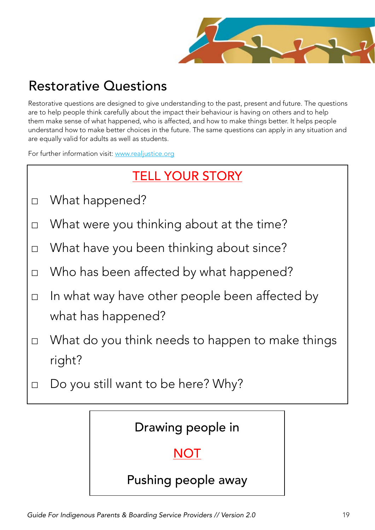

## Restorative Questions

Restorative questions are designed to give understanding to the past, present and future. The questions are to help people think carefully about the impact their behaviour is having on others and to help them make sense of what happened, who is affected, and how to make things better. It helps people understand how to make better choices in the future. The same questions can apply in any situation and are equally valid for adults as well as students.

For further information visit: www.realjustice.org

## TELL YOUR STORY

- □ What happened?
- □ What were you thinking about at the time?
- □ What have you been thinking about since?
- □ Who has been affected by what happened?
- □ In what way have other people been affected by what has happened?
- □ What do you think needs to happen to make things right?
- □ Do you still want to be here? Why?

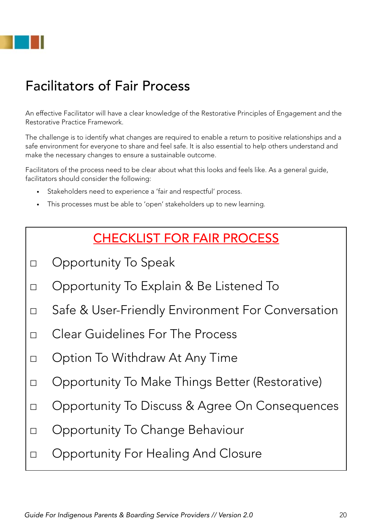

## Facilitators of Fair Process

An effective Facilitator will have a clear knowledge of the Restorative Principles of Engagement and the Restorative Practice Framework.

The challenge is to identify what changes are required to enable a return to positive relationships and a safe environment for everyone to share and feel safe. It is also essential to help others understand and make the necessary changes to ensure a sustainable outcome.

Facilitators of the process need to be clear about what this looks and feels like. As a general guide, facilitators should consider the following:

- Stakeholders need to experience a 'fair and respectful' process.
- This processes must be able to 'open' stakeholders up to new learning.

### CHECKLIST FOR FAIR PROCESS

- □ Opportunity To Speak
- □ Opportunity To Explain & Be Listened To
- □ Safe & User-Friendly Environment For Conversation
- $\Box$  Clear Guidelines For The Process
- □ Option To Withdraw At Any Time
- □ Opportunity To Make Things Better (Restorative)
- □ Opportunity To Discuss & Agree On Consequences
- □ Opportunity To Change Behaviour
- □ Opportunity For Healing And Closure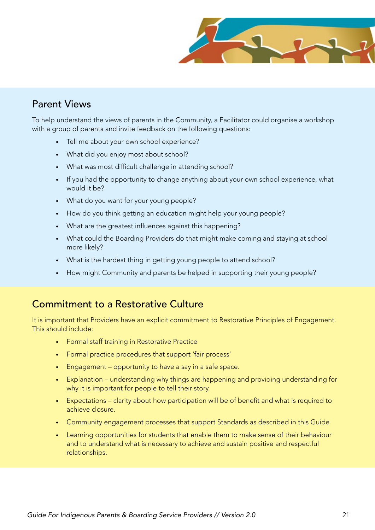

### Parent Views

To help understand the views of parents in the Community, a Facilitator could organise a workshop with a group of parents and invite feedback on the following questions:

- Tell me about your own school experience?
- What did you enjoy most about school?
- What was most difficult challenge in attending school?
- If you had the opportunity to change anything about your own school experience, what would it be?
- What do you want for your young people?
- How do you think getting an education might help your young people?
- • What are the greatest influences against this happening?
- What could the Boarding Providers do that might make coming and staying at school more likely?
- What is the hardest thing in getting young people to attend school?
- How might Community and parents be helped in supporting their young people?

#### Commitment to a Restorative Culture

It is important that Providers have an explicit commitment to Restorative Principles of Engagement. This should include:

- Formal staff training in Restorative Practice
- Formal practice procedures that support 'fair process'
- Engagement opportunity to have a say in a safe space.
- Explanation understanding why things are happening and providing understanding for why it is important for people to tell their story.
- Expectations clarity about how participation will be of benefit and what is required to achieve closure.
- Community engagement processes that support Standards as described in this Guide
- Learning opportunities for students that enable them to make sense of their behaviour and to understand what is necessary to achieve and sustain positive and respectful relationships.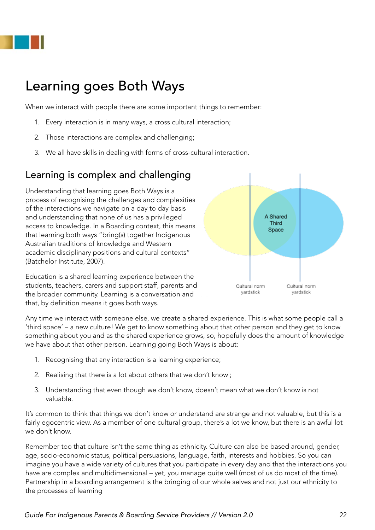

## Learning goes Both Ways

When we interact with people there are some important things to remember:

- 1. Every interaction is in many ways, a cross cultural interaction;
- 2. Those interactions are complex and challenging;
- 3. We all have skills in dealing with forms of cross-cultural interaction.

### Learning is complex and challenging

Understanding that learning goes Both Ways is a process of recognising the challenges and complexities of the interactions we navigate on a day to day basis and understanding that none of us has a privileged access to knowledge. In a Boarding context, this means that learning both ways "bring(s) together Indigenous Australian traditions of knowledge and Western academic disciplinary positions and cultural contexts" (Batchelor Institute, 2007).

Education is a shared learning experience between the students, teachers, carers and support staff, parents and the broader community. Learning is a conversation and that, by definition means it goes both ways.



Any time we interact with someone else, we create a shared experience. This is what some people call a 'third space' – a new culture! We get to know something about that other person and they get to know something about you and as the shared experience grows, so, hopefully does the amount of knowledge we have about that other person. Learning going Both Ways is about:

- 1. Recognising that any interaction is a learning experience;
- 2. Realising that there is a lot about others that we don't know ;
- 3. Understanding that even though we don't know, doesn't mean what we don't know is not valuable.

It's common to think that things we don't know or understand are strange and not valuable, but this is a fairly egocentric view. As a member of one cultural group, there's a lot we know, but there is an awful lot we don't know.

Remember too that culture isn't the same thing as ethnicity. Culture can also be based around, gender, age, socio-economic status, political persuasions, language, faith, interests and hobbies. So you can imagine you have a wide variety of cultures that you participate in every day and that the interactions you have are complex and multidimensional – yet, you manage quite well (most of us do most of the time). Partnership in a boarding arrangement is the bringing of our whole selves and not just our ethnicity to the processes of learning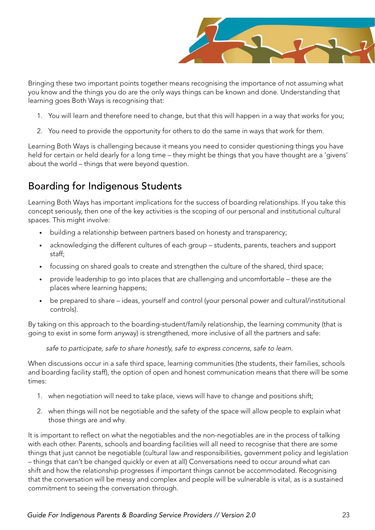

Bringing these two important points together means recognising the importance of not assuming what you know and the things you do are the only ways things can be known and done. Understanding that learning goes Both Ways is recognising that:

- 1. You will learn and therefore need to change, but that this will happen in a way that works for you;
- 2. You need to provide the opportunity for others to do the same in ways that work for them.

Learning Both Ways is challenging because it means you need to consider questioning things you have held for certain or held dearly for a long time – they might be things that you have thought are a 'givens' about the world – things that were beyond question.

### Boarding for Indigenous Students

Learning Both Ways has important implications for the success of boarding relationships. If you take this concept seriously, then one of the key activities is the scoping of our personal and institutional cultural spaces. This might involve:

- building a relationship between partners based on honesty and transparency;
- acknowledging the different cultures of each group students, parents, teachers and support staff;
- focussing on shared goals to create and strengthen the culture of the shared, third space;
- provide leadership to go into places that are challenging and uncomfortable these are the places where learning happens;
- be prepared to share ideas, yourself and control (your personal power and cultural/institutional controls).

By taking on this approach to the boarding-student/family relationship, the learning community (that is going to exist in some form anyway) is strengthened, more inclusive of all the partners and safe:

safe to participate, safe to share honestly, safe to express concerns, safe to learn.

When discussions occur in a safe third space, learning communities (the students, their families, schools and boarding facility staff), the option of open and honest communication means that there will be some times:

- 1. when negotiation will need to take place, views will have to change and positions shift;
- 2. when things will not be negotiable and the safety of the space will allow people to explain what those things are and why.

It is important to reflect on what the negotiables and the non-negotiables are in the process of talking with each other. Parents, schools and boarding facilities will all need to recognise that there are some things that just cannot be negotiable (cultural law and responsibilities, government policy and legislation – things that can't be changed quickly or even at all) Conversations need to occur around what can shift and how the relationship progresses if important things cannot be accommodated. Recognising that the conversation will be messy and complex and people will be vulnerable is vital, as is a sustained commitment to seeing the conversation through.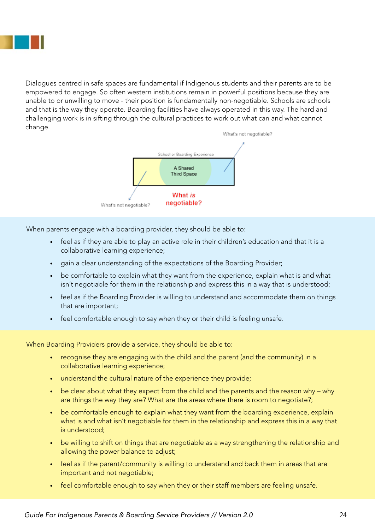

Dialogues centred in safe spaces are fundamental if Indigenous students and their parents are to be empowered to engage. So often western institutions remain in powerful positions because they are unable to or unwilling to move - their position is fundamentally non-negotiable. Schools are schools and that is the way they operate. Boarding facilities have always operated in this way. The hard and challenging work is in sifting through the cultural practices to work out what can and what cannot change.



When parents engage with a boarding provider, they should be able to:

- feel as if they are able to play an active role in their children's education and that it is a collaborative learning experience;
- gain a clear understanding of the expectations of the Boarding Provider;
- be comfortable to explain what they want from the experience, explain what is and what isn't negotiable for them in the relationship and express this in a way that is understood;
- feel as if the Boarding Provider is willing to understand and accommodate them on things that are important;
- feel comfortable enough to say when they or their child is feeling unsafe.

When Boarding Providers provide a service, they should be able to:

- recognise they are engaging with the child and the parent (and the community) in a collaborative learning experience;
- understand the cultural nature of the experience they provide;
- be clear about what they expect from the child and the parents and the reason why why are things the way they are? What are the areas where there is room to negotiate?;
- be comfortable enough to explain what they want from the boarding experience, explain what is and what isn't negotiable for them in the relationship and express this in a way that is understood;
- be willing to shift on things that are negotiable as a way strengthening the relationship and allowing the power balance to adjust;
- feel as if the parent/community is willing to understand and back them in areas that are important and not negotiable;
- feel comfortable enough to say when they or their staff members are feeling unsafe.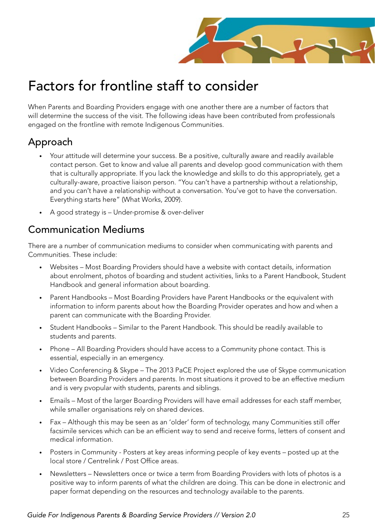

## Factors for frontline staff to consider

When Parents and Boarding Providers engage with one another there are a number of factors that will determine the success of the visit. The following ideas have been contributed from professionals engaged on the frontline with remote Indigenous Communities.

### Approach

- Your attitude will determine your success. Be a positive, culturally aware and readily available contact person. Get to know and value all parents and develop good communication with them that is culturally appropriate. If you lack the knowledge and skills to do this appropriately, get a culturally-aware, proactive liaison person. "You can't have a partnership without a relationship, and you can't have a relationship without a conversation. You've got to have the conversation. Everything starts here" (What Works, 2009).
- • A good strategy is Under-promise & over-deliver

### Communication Mediums

There are a number of communication mediums to consider when communicating with parents and Communities. These include:

- Websites Most Boarding Providers should have a website with contact details, information about enrolment, photos of boarding and student activities, links to a Parent Handbook, Student Handbook and general information about boarding.
- Parent Handbooks Most Boarding Providers have Parent Handbooks or the equivalent with information to inform parents about how the Boarding Provider operates and how and when a parent can communicate with the Boarding Provider.
- Student Handbooks Similar to the Parent Handbook. This should be readily available to students and parents.
- Phone All Boarding Providers should have access to a Community phone contact. This is essential, especially in an emergency.
- Video Conferencing & Skype The 2013 PaCE Project explored the use of Skype communication between Boarding Providers and parents. In most situations it proved to be an effective medium and is very pvopular with students, parents and siblings.
- Emails Most of the larger Boarding Providers will have email addresses for each staff member, while smaller organisations rely on shared devices.
- Fax Although this may be seen as an 'older' form of technology, many Communities still offer facsimile services which can be an efficient way to send and receive forms, letters of consent and medical information.
- Posters in Community Posters at key areas informing people of key events posted up at the local store / Centrelink / Post Office areas.
- Newsletters Newsletters once or twice a term from Boarding Providers with lots of photos is a positive way to inform parents of what the children are doing. This can be done in electronic and paper format depending on the resources and technology available to the parents.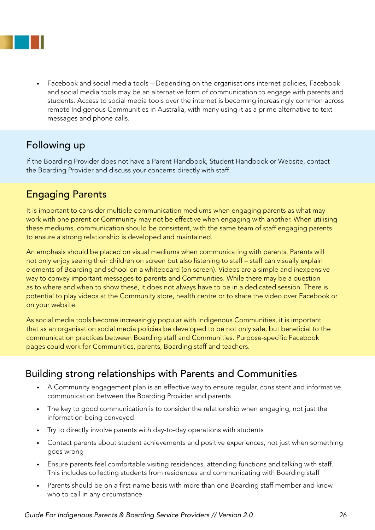

Facebook and social media tools – Depending on the organisations internet policies, Facebook and social media tools may be an alternative form of communication to engage with parents and students. Access to social media tools over the internet is becoming increasingly common across remote Indigenous Communities in Australia, with many using it as a prime alternative to text messages and phone calls.

### Following up

If the Boarding Provider does not have a Parent Handbook, Student Handbook or Website, contact the Boarding Provider and discuss your concerns directly with staff.

### Engaging Parents

It is important to consider multiple communication mediums when engaging parents as what may work with one parent or Community may not be effective when engaging with another. When utilising these mediums, communication should be consistent, with the same team of staff engaging parents to ensure a strong relationship is developed and maintained.

An emphasis should be placed on visual mediums when communicating with parents. Parents will not only enjoy seeing their children on screen but also listening to staff – staff can visually explain elements of Boarding and school on a whiteboard (on screen). Videos are a simple and inexpensive way to convey important messages to parents and Communities. While there may be a question as to where and when to show these, it does not always have to be in a dedicated session. There is potential to play videos at the Community store, health centre or to share the video over Facebook or on your website.

As social media tools become increasingly popular with Indigenous Communities, it is important that as an organisation social media policies be developed to be not only safe, but beneficial to the communication practices between Boarding staff and Communities. Purpose-specific Facebook pages could work for Communities, parents, Boarding staff and teachers.

### Building strong relationships with Parents and Communities

- • A Community engagement plan is an effective way to ensure regular, consistent and informative communication between the Boarding Provider and parents
- The key to good communication is to consider the relationship when engaging, not just the information being conveyed
- • Try to directly involve parents with day-to-day operations with students
- Contact parents about student achievements and positive experiences, not just when something goes wrong
- Ensure parents feel comfortable visiting residences, attending functions and talking with staff. This includes collecting students from residences and communicating with Boarding staff
- Parents should be on a first-name basis with more than one Boarding staff member and know who to call in any circumstance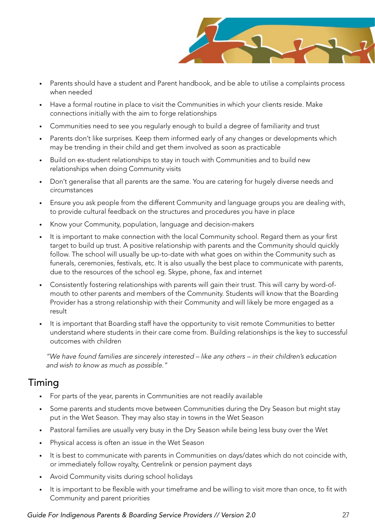

- Parents should have a student and Parent handbook, and be able to utilise a complaints process when needed
- Have a formal routine in place to visit the Communities in which your clients reside. Make connections initially with the aim to forge relationships
- Communities need to see you regularly enough to build a degree of familiarity and trust
- Parents don't like surprises. Keep them informed early of any changes or developments which may be trending in their child and get them involved as soon as practicable
- Build on ex-student relationships to stay in touch with Communities and to build new relationships when doing Community visits
- Don't generalise that all parents are the same. You are catering for hugely diverse needs and circumstances
- Ensure you ask people from the different Community and language groups you are dealing with, to provide cultural feedback on the structures and procedures you have in place
- Know your Community, population, language and decision-makers
- It is important to make connection with the local Community school. Regard them as your first target to build up trust. A positive relationship with parents and the Community should quickly follow. The school will usually be up-to-date with what goes on within the Community such as funerals, ceremonies, festivals, etc. It is also usually the best place to communicate with parents, due to the resources of the school eg. Skype, phone, fax and internet
- Consistently fostering relationships with parents will gain their trust. This will carry by word-ofmouth to other parents and members of the Community. Students will know that the Boarding Provider has a strong relationship with their Community and will likely be more engaged as a result
- It is important that Boarding staff have the opportunity to visit remote Communities to better understand where students in their care come from. Building relationships is the key to successful outcomes with children

"We have found families are sincerely interested – like any others – in their children's education and wish to know as much as possible."

### Timing

- For parts of the year, parents in Communities are not readily available
- Some parents and students move between Communities during the Dry Season but might stay put in the Wet Season. They may also stay in towns in the Wet Season
- Pastoral families are usually very busy in the Dry Season while being less busy over the Wet
- Physical access is often an issue in the Wet Season
- It is best to communicate with parents in Communities on days/dates which do not coincide with, or immediately follow royalty, Centrelink or pension payment days
- Avoid Community visits during school holidays
- It is important to be flexible with your timeframe and be willing to visit more than once, to fit with Community and parent priorities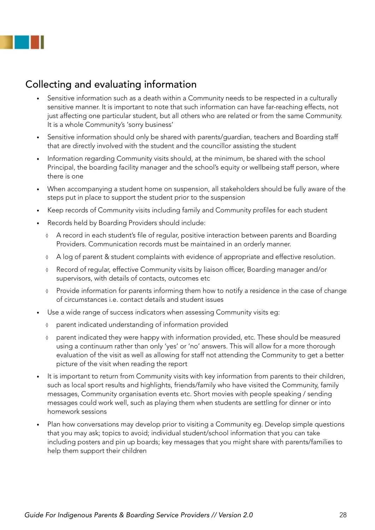

### Collecting and evaluating information

- Sensitive information such as a death within a Community needs to be respected in a culturally sensitive manner. It is important to note that such information can have far-reaching effects, not just affecting one particular student, but all others who are related or from the same Community. It is a whole Community's 'sorry business'
- Sensitive information should only be shared with parents/guardian, teachers and Boarding staff that are directly involved with the student and the councillor assisting the student
- Information regarding Community visits should, at the minimum, be shared with the school Principal, the boarding facility manager and the school's equity or wellbeing staff person, where there is one
- When accompanying a student home on suspension, all stakeholders should be fully aware of the steps put in place to support the student prior to the suspension
- Keep records of Community visits including family and Community profiles for each student
- Records held by Boarding Providers should include:
	- ◊ A record in each student's file of regular, positive interaction between parents and Boarding Providers. Communication records must be maintained in an orderly manner.
	- ◊ A log of parent & student complaints with evidence of appropriate and effective resolution.
	- ◊ Record of regular, effective Community visits by liaison officer, Boarding manager and/or supervisors, with details of contacts, outcomes etc
	- ◊ Provide information for parents informing them how to notify a residence in the case of change of circumstances i.e. contact details and student issues
- Use a wide range of success indicators when assessing Community visits eg:
	- ◊ parent indicated understanding of information provided
	- ◊ parent indicated they were happy with information provided, etc. These should be measured using a continuum rather than only 'yes' or 'no' answers. This will allow for a more thorough evaluation of the visit as well as allowing for staff not attending the Community to get a better picture of the visit when reading the report
- It is important to return from Community visits with key information from parents to their children, such as local sport results and highlights, friends/family who have visited the Community, family messages, Community organisation events etc. Short movies with people speaking / sending messages could work well, such as playing them when students are settling for dinner or into homework sessions
- Plan how conversations may develop prior to visiting a Community eg. Develop simple questions that you may ask; topics to avoid; individual student/school information that you can take including posters and pin up boards; key messages that you might share with parents/families to help them support their children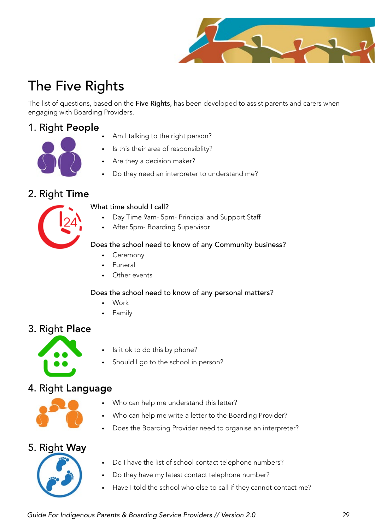

## The Five Rights

The list of questions, based on the Five Rights, has been developed to assist parents and carers when engaging with Boarding Providers.

### 1. Right People



- Am I talking to the right person?
- Is this their area of responsiblity?
- Are they a decision maker?
- Do they need an interpreter to understand me?

#### 2. Right Time



- What time should I call?
	- Day Time 9am- 5pm- Principal and Support Staff
	- After 5pm- Boarding Supervisor

#### Does the school need to know of any Community business?

- **Ceremony**
- **Funeral**
- Other events

#### Does the school need to know of any personal matters?

- **Work**
- **Family**

### 3. Right Place



- Is it ok to do this by phone?
- Should I go to the school in person?

### 4. Right Language



- Who can help me understand this letter?
- Who can help me write a letter to the Boarding Provider?
- Does the Boarding Provider need to organise an interpreter?

#### 5. Right Way



- Do I have the list of school contact telephone numbers?
- Do they have my latest contact telephone number?
- Have I told the school who else to call if they cannot contact me?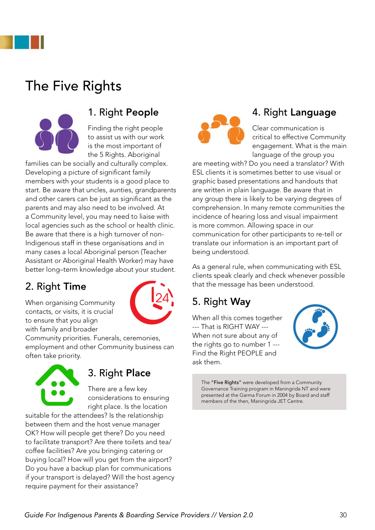

## The Five Rights



### 1. Right People

Finding the right people to assist us with our work is the most important of the 5 Rights. Aboriginal

families can be socially and culturally complex. Developing a picture of significant family members with your students is a good place to start. Be aware that uncles, aunties, grandparents and other carers can be just as significant as the parents and may also need to be involved. At a Community level, you may need to liaise with local agencies such as the school or health clinic. Be aware that there is a high turnover of non-Indigenous staff in these organisations and in many cases a local Aboriginal person (Teacher Assistant or Aboriginal Health Worker) may have better long–term knowledge about your student.

### 2. Right Time

When organising Community contacts, or visits, it is crucial to ensure that you align with family and broader



Community priorities. Funerals, ceremonies, employment and other Community business can often take priority.



### 3. Right Place

There are a few key considerations to ensuring right place. Is the location

suitable for the attendees? Is the relationship between them and the host venue manager OK? How will people get there? Do you need to facilitate transport? Are there toilets and tea/ coffee facilities? Are you bringing catering or buying local? How will you get from the airport? Do you have a backup plan for communications if your transport is delayed? Will the host agency require payment for their assistance?



### 4. Right Language

Clear communication is critical to effective Community engagement. What is the main language of the group you

are meeting with? Do you need a translator? With ESL clients it is sometimes better to use visual or graphic based presentations and handouts that are written in plain language. Be aware that in any group there is likely to be varying degrees of comprehension. In many remote communities the incidence of hearing loss and visual impairment is more common. Allowing space in our communication for other participants to re-tell or translate our information is an important part of being understood.

As a general rule, when communicating with ESL clients speak clearly and check whenever possible that the message has been understood.

### 5. Right Way

When all this comes together --- That is RIGHT WAY --- When not sure about any of the rights go to number 1 --- Find the Right PEOPLE and ask them.



The "Five Rights" were developed from a Community Governance Training program in Maningrida NT and were presented at the Garma Forum in 2004 by Board and staff members of the then, Maningrida JET Centre.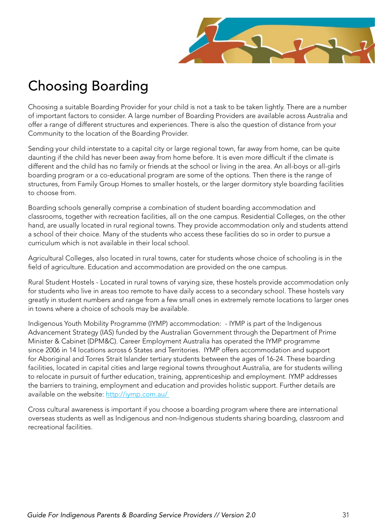

## Choosing Boarding

Choosing a suitable Boarding Provider for your child is not a task to be taken lightly. There are a number of important factors to consider. A large number of Boarding Providers are available across Australia and offer a range of different structures and experiences. There is also the question of distance from your Community to the location of the Boarding Provider.

Sending your child interstate to a capital city or large regional town, far away from home, can be quite daunting if the child has never been away from home before. It is even more difficult if the climate is different and the child has no family or friends at the school or living in the area. An all-boys or all-girls boarding program or a co-educational program are some of the options. Then there is the range of structures, from Family Group Homes to smaller hostels, or the larger dormitory style boarding facilities to choose from.

Boarding schools generally comprise a combination of student boarding accommodation and classrooms, together with recreation facilities, all on the one campus. Residential Colleges, on the other hand, are usually located in rural regional towns. They provide accommodation only and students attend a school of their choice. Many of the students who access these facilities do so in order to pursue a curriculum which is not available in their local school.

Agricultural Colleges, also located in rural towns, cater for students whose choice of schooling is in the field of agriculture. Education and accommodation are provided on the one campus.

Rural Student Hostels - Located in rural towns of varying size, these hostels provide accommodation only for students who live in areas too remote to have daily access to a secondary school. These hostels vary greatly in student numbers and range from a few small ones in extremely remote locations to larger ones in towns where a choice of schools may be available.

Indigenous Youth Mobility Programme (IYMP) accommodation: - IYMP is part of the Indigenous Advancement Strategy (IAS) funded by the Australian Government through the Department of Prime Minister & Cabinet (DPM&C). Career Employment Australia has operated the IYMP programme since 2006 in 14 locations across 6 States and Territories. IYMP offers accommodation and support for Aboriginal and Torres Strait Islander tertiary students between the ages of 16-24. These boarding facilities, located in capital cities and large regional towns throughout Australia, are for students willing to relocate in pursuit of further education, training, apprenticeship and employment. IYMP addresses the barriers to training, employment and education and provides holistic support. Further details are available on the website: http://iymp.com.au/

Cross cultural awareness is important if you choose a boarding program where there are international overseas students as well as Indigenous and non-Indigenous students sharing boarding, classroom and recreational facilities.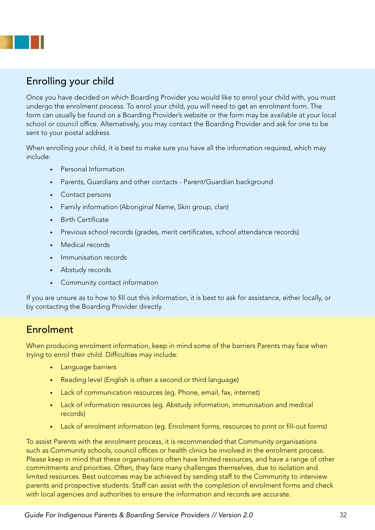

### Enrolling your child

Once you have decided on which Boarding Provider you would like to enrol your child with, you must undergo the enrolment process. To enrol your child, you will need to get an enrolment form. The form can usually be found on a Boarding Provider's website or the form may be available at your local school or council office. Alternatively, you may contact the Boarding Provider and ask for one to be sent to your postal address.

When enrolling your child, it is best to make sure you have all the information required, which may include:

- • Personal Information
- Parents, Guardians and other contacts Parent/Guardian background
- • Contact persons
- Family information (Aboriginal Name, Skin group, clan)
- • Birth Certificate
- Previous school records (grades, merit certificates, school attendance records)
- Medical records
- Immunisation records
- • Abstudy records
- • Community contact information

If you are unsure as to how to fill out this information, it is best to ask for assistance, either locally, or by contacting the Boarding Provider directly.

### Enrolment

When producing enrolment information, keep in mind some of the barriers Parents may face when trying to enrol their child. Difficulties may include:

- • Language barriers
- Reading level (English is often a second or third language)
- Lack of communication resources (eg. Phone, email, fax, internet)
- Lack of information resources (eg. Abstudy information, immunisation and medical records)
- Lack of enrolment information (eg. Enrolment forms, resources to print or fill-out forms)

To assist Parents with the enrolment process, it is recommended that Community organisations such as Community schools, council offices or health clinics be involved in the enrolment process. Please keep in mind that these organisations often have limited resources, and have a range of other commitments and priorities. Often, they face many challenges themselves, due to isolation and limited resources. Best outcomes may be achieved by sending staff to the Community to interview parents and prospective students. Staff can assist with the completion of enrolment forms and check with local agencies and authorities to ensure the information and records are accurate.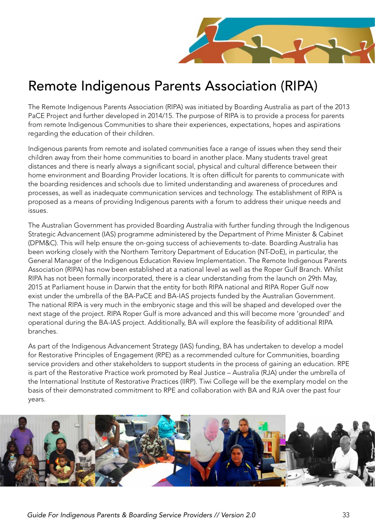

## Remote Indigenous Parents Association (RIPA)

The Remote Indigenous Parents Association (RIPA) was initiated by Boarding Australia as part of the 2013 PaCE Project and further developed in 2014/15. The purpose of RIPA is to provide a process for parents from remote Indigenous Communities to share their experiences, expectations, hopes and aspirations regarding the education of their children.

Indigenous parents from remote and isolated communities face a range of issues when they send their children away from their home communities to board in another place. Many students travel great distances and there is nearly always a significant social, physical and cultural difference between their home environment and Boarding Provider locations. It is often difficult for parents to communicate with the boarding residences and schools due to limited understanding and awareness of procedures and processes, as well as inadequate communication services and technology. The establishment of RIPA is proposed as a means of providing Indigenous parents with a forum to address their unique needs and issues.

The Australian Government has provided Boarding Australia with further funding through the Indigenous Strategic Advancement (IAS) programme administered by the Department of Prime Minister & Cabinet (DPM&C). This will help ensure the on-going success of achievements to-date. Boarding Australia has been working closely with the Northern Territory Department of Education (NT-DoE), in particular, the General Manager of the Indigenous Education Review Implementation. The Remote Indigenous Parents Association (RIPA) has now been established at a national level as well as the Roper Gulf Branch. Whilst RIPA has not been formally incorporated, there is a clear understanding from the launch on 29th May, 2015 at Parliament house in Darwin that the entity for both RIPA national and RIPA Roper Gulf now exist under the umbrella of the BA-PaCE and BA-IAS projects funded by the Australian Government. The national RIPA is very much in the embryonic stage and this will be shaped and developed over the next stage of the project. RIPA Roper Gulf is more advanced and this will become more 'grounded' and operational during the BA-IAS project. Additionally, BA will explore the feasibility of additional RIPA branches.

As part of the Indigenous Advancement Strategy (IAS) funding, BA has undertaken to develop a model for Restorative Principles of Engagement (RPE) as a recommended culture for Communities, boarding service providers and other stakeholders to support students in the process of gaining an education. RPE is part of the Restorative Practice work promoted by Real Justice – Australia (RJA) under the umbrella of the International Institute of Restorative Practices (IIRP). Tiwi College will be the exemplary model on the basis of their demonstrated commitment to RPE and collaboration with BA and RJA over the past four years.

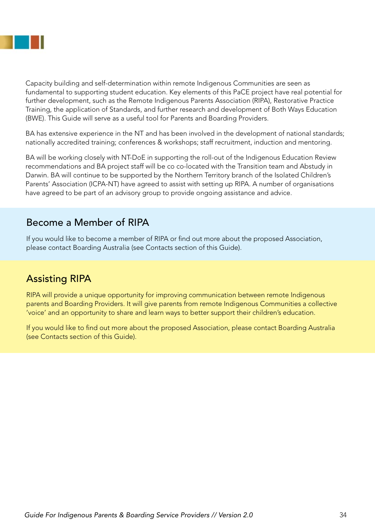

Capacity building and self-determination within remote Indigenous Communities are seen as fundamental to supporting student education. Key elements of this PaCE project have real potential for further development, such as the Remote Indigenous Parents Association (RIPA), Restorative Practice Training, the application of Standards, and further research and development of Both Ways Education (BWE). This Guide will serve as a useful tool for Parents and Boarding Providers.

BA has extensive experience in the NT and has been involved in the development of national standards; nationally accredited training; conferences & workshops; staff recruitment, induction and mentoring.

BA will be working closely with NT-DoE in supporting the roll-out of the Indigenous Education Review recommendations and BA project staff will be co co-located with the Transition team and Abstudy in Darwin. BA will continue to be supported by the Northern Territory branch of the Isolated Children's Parents' Association (ICPA-NT) have agreed to assist with setting up RIPA. A number of organisations have agreed to be part of an advisory group to provide ongoing assistance and advice.

### Become a Member of RIPA

If you would like to become a member of RIPA or find out more about the proposed Association, please contact Boarding Australia (see Contacts section of this Guide).

### Assisting RIPA

RIPA will provide a unique opportunity for improving communication between remote Indigenous parents and Boarding Providers. It will give parents from remote Indigenous Communities a collective 'voice' and an opportunity to share and learn ways to better support their children's education.

If you would like to find out more about the proposed Association, please contact Boarding Australia (see Contacts section of this Guide).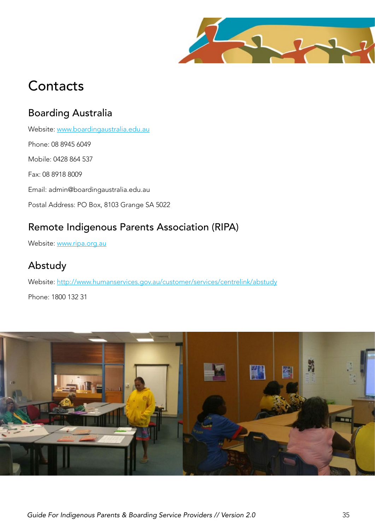

## **Contacts**

### Boarding Australia

Website: www.boardingaustralia.edu.au Phone: 08 8945 6049 Mobile: 0428 864 537 Fax: 08 8918 8009 Email: admin@boardingaustralia.edu.au Postal Address: PO Box, 8103 Grange SA 5022

### Remote Indigenous Parents Association (RIPA)

Website: www.ripa.org.au

### Abstudy

Website: http://www.humanservices.gov.au/customer/services/centrelink/abstudy

Phone: 1800 132 31

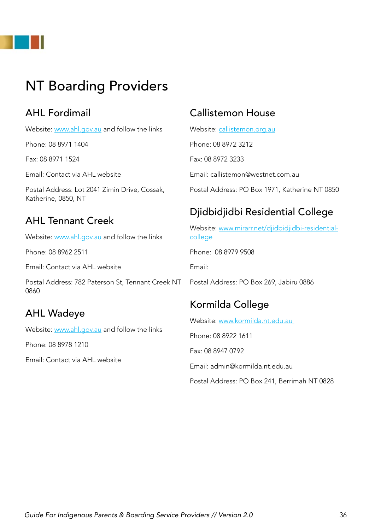

## NT Boarding Providers

### AHL Fordimail

Website: www.ahl.gov.au and follow the links

Phone: 08 8971 1404

Fax: 08 8971 1524

Email: Contact via AHL website

Postal Address: Lot 2041 Zimin Drive, Cossak, Katherine, 0850, NT

### AHL Tennant Creek

Website: www.ahl.gov.au and follow the links

Phone: 08 8962 2511

Email: Contact via AHL website

Postal Address: 782 Paterson St, Tennant Creek NT 0860

### AHL Wadeye

Website: www.ahl.gov.au and follow the links

Phone: 08 8978 1210

Email: Contact via AHL website

### Callistemon House

Website: callistemon.org.au Phone: 08 8972 3212 Fax: 08 8972 3233 Email: callistemon@westnet.com.au Postal Address: PO Box 1971, Katherine NT 0850

### Djidbidjidbi Residential College

Website: www.mirarr.net/diidbidiidbi-residentialcollege Phone: 08 8979 9508 Email: Postal Address: PO Box 269, Jabiru 0886

### Kormilda College

Website: www.kormilda.nt.edu.au

Phone: 08 8922 1611

Fax: 08 8947 0792

Email: admin@kormilda.nt.edu.au

Postal Address: PO Box 241, Berrimah NT 0828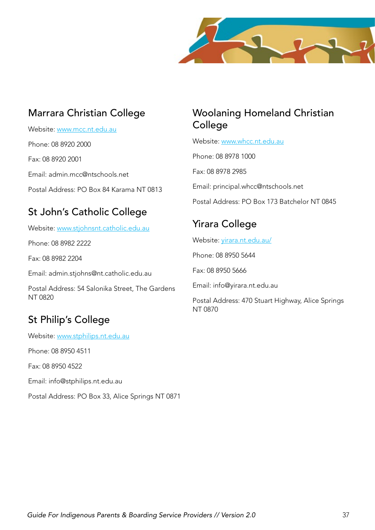

### Marrara Christian College

Website: www.mcc.nt.edu.au

Phone: 08 8920 2000

Fax: 08 8920 2001

Email: admin.mcc@ntschools.net

Postal Address: PO Box 84 Karama NT 0813

### St John's Catholic College

Website: www.stjohnsnt.catholic.edu.au

Phone: 08 8982 2222

Fax: 08 8982 2204

Email: admin.stjohns@nt.catholic.edu.au

Postal Address: 54 Salonika Street, The Gardens NT 0820

### St Philip's College

Website: www.stphilips.nt.edu.au

Phone: 08 8950 4511

Fax: 08 8950 4522

Email: info@stphilips.nt.edu.au

Postal Address: PO Box 33, Alice Springs NT 0871

### Woolaning Homeland Christian College

Website: www.whcc.nt.edu.au

Phone: 08 8978 1000

Fax: 08 8978 2985

Email: principal.whcc@ntschools.net

Postal Address: PO Box 173 Batchelor NT 0845

### Yirara College

Website: yirara.nt.edu.au/

Phone: 08 8950 5644

Fax: 08 8950 5666

Email: info@yirara.nt.edu.au

Postal Address: 470 Stuart Highway, Alice Springs NT 0870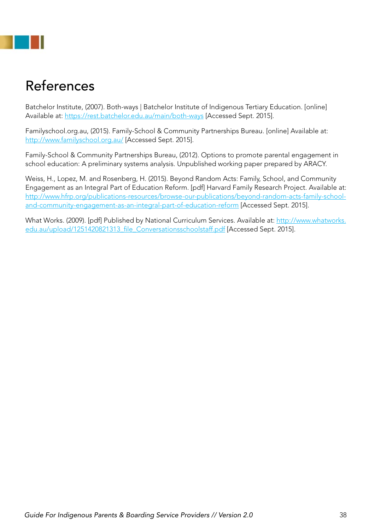## References

Batchelor Institute, (2007). Both-ways | Batchelor Institute of Indigenous Tertiary Education. [online] Available at: https://rest.batchelor.edu.au/main/both-ways [Accessed Sept. 2015].

Familyschool.org.au, (2015). Family-School & Community Partnerships Bureau. [online] Available at: http://www.familyschool.org.au/ [Accessed Sept. 2015].

Family-School & Community Partnerships Bureau, (2012). Options to promote parental engagement in school education: A preliminary systems analysis. Unpublished working paper prepared by ARACY.

Weiss, H., Lopez, M. and Rosenberg, H. (2015). Beyond Random Acts: Family, School, and Community Engagement as an Integral Part of Education Reform. [pdf] Harvard Family Research Project. Available at: http://www.hfrp.org/publications-resources/browse-our-publications/beyond-random-acts-family-schooland-community-engagement-as-an-integral-part-of-education-reform [Accessed Sept. 2015].

What Works. (2009). [pdf] Published by National Curriculum Services. Available at: http://www.whatworks. edu.au/upload/1251420821313\_file\_Conversationsschoolstaff.pdf [Accessed Sept. 2015].